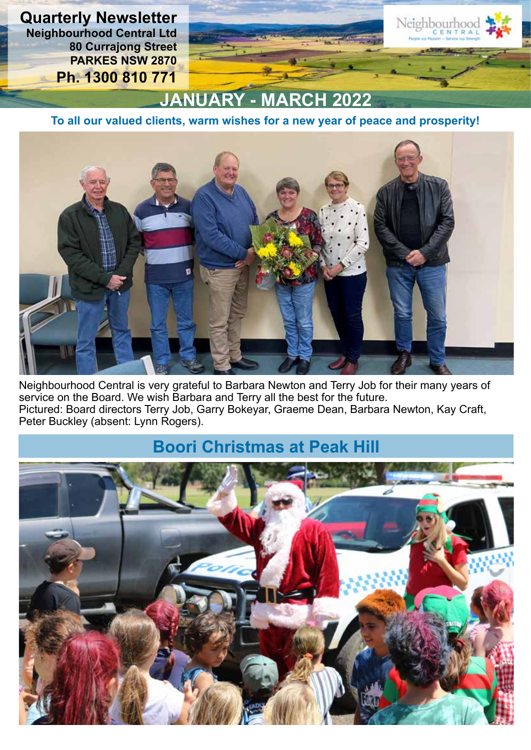**Quarterly Newsletter Neighbourhood Central Ltd 80 Currajong Street PARKES NSW 2870 Ph. 1300 810 771**

## **JANUARY - MARCH 2022**

Neighbourhoo

**To all our valued clients, warm wishes for a new year of peace and prosperity!**



Neighbourhood Central is very grateful to Barbara Newton and Terry Job for their many years of service on the Board. We wish Barbara and Terry all the best for the future. Pictured: Board directors Terry Job, Garry Bokeyar, Graeme Dean, Barbara Newton, Kay Craft, Peter Buckley (absent: Lynn Rogers).

### **Boori Christmas at Peak Hill**

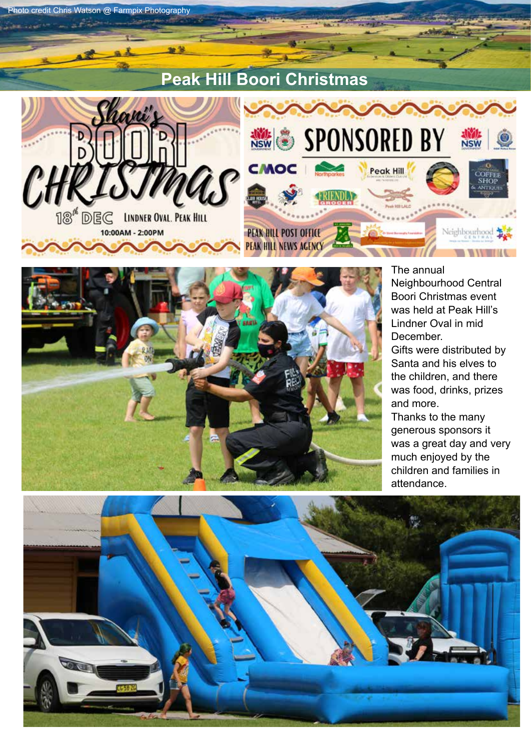



Photo credit Chris Watson @ Farmpix Photography

The annual Neighbourhood Central Boori Christmas event was held at Peak Hill's Lindner Oval in mid December. Gifts were distributed by Santa and his elves to the children, and there was food, drinks, prizes and more. Thanks to the many generous sponsors it was a great day and very much enjoyed by the children and families in attendance.

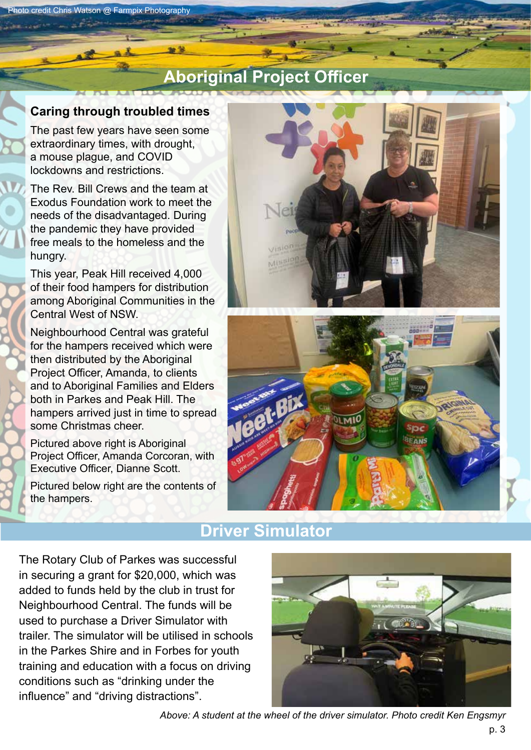### **Aboriginal Project Officer**

#### **Caring through troubled times**

The past few years have seen some extraordinary times, with drought, a mouse plague, and COVID lockdowns and restrictions.

The Rev. Bill Crews and the team at Exodus Foundation work to meet the needs of the disadvantaged. During the pandemic they have provided free meals to the homeless and the hungry.

This year, Peak Hill received 4,000 of their food hampers for distribution among Aboriginal Communities in the Central West of NSW.

Neighbourhood Central was grateful for the hampers received which were then distributed by the Aboriginal Project Officer, Amanda, to clients and to Aboriginal Families and Elders both in Parkes and Peak Hill. The hampers arrived just in time to spread some Christmas cheer.

Pictured above right is Aboriginal Project Officer, Amanda Corcoran, with Executive Officer, Dianne Scott.

Pictured below right are the contents of the hampers.





### **Driver Simulator**

The Rotary Club of Parkes was successful in securing a grant for \$20,000, which was added to funds held by the club in trust for Neighbourhood Central. The funds will be used to purchase a Driver Simulator with trailer. The simulator will be utilised in schools in the Parkes Shire and in Forbes for youth training and education with a focus on driving conditions such as "drinking under the influence" and "driving distractions".



*Above: A student at the wheel of the driver simulator. Photo credit Ken Engsmyr*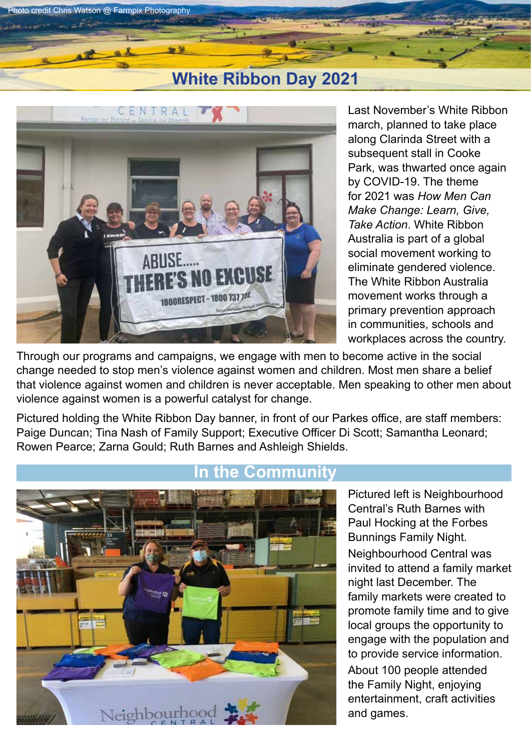### **White Ribbon Day 2021**



Photo credit Chris Watson @ Farmpix Photography

Last November's White Ribbon march, planned to take place along Clarinda Street with a subsequent stall in Cooke Park, was thwarted once again by COVID-19. The theme for 2021 was *How Men Can Make Change: Learn, Give, Take Action*. White Ribbon Australia is part of a global social movement working to eliminate gendered violence. The White Ribbon Australia movement works through a primary prevention approach in communities, schools and workplaces across the country.

Through our programs and campaigns, we engage with men to become active in the social change needed to stop men's violence against women and children. Most men share a belief that violence against women and children is never acceptable. Men speaking to other men about violence against women is a powerful catalyst for change.

Pictured holding the White Ribbon Day banner, in front of our Parkes office, are staff members: Paige Duncan; Tina Nash of Family Support; Executive Officer Di Scott; Samantha Leonard; Rowen Pearce; Zarna Gould; Ruth Barnes and Ashleigh Shields.



Pictured left is Neighbourhood Central's Ruth Barnes with Paul Hocking at the Forbes Bunnings Family Night. Neighbourhood Central was invited to attend a family market night last December. The family markets were created to promote family time and to give local groups the opportunity to engage with the population and to provide service information. About 100 people attended the Family Night, enjoying entertainment, craft activities and games.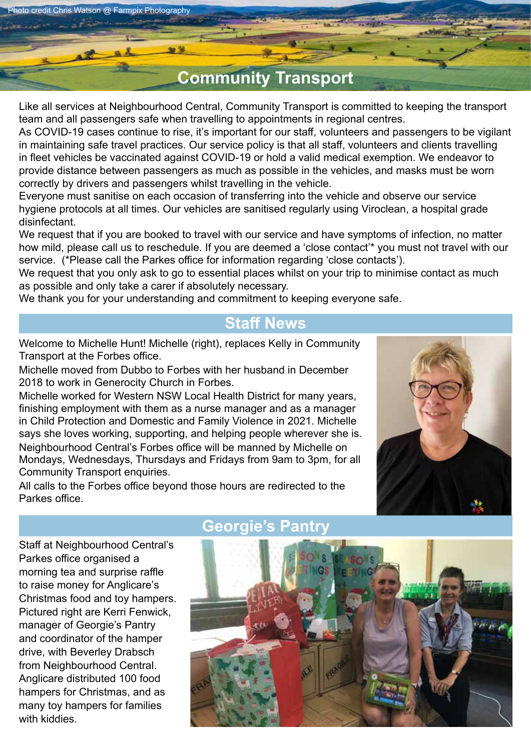Chris Watson @ Farmpix Photography

### **Community Transport**

Like all services at Neighbourhood Central, Community Transport is committed to keeping the transport team and all passengers safe when travelling to appointments in regional centres.

As COVID-19 cases continue to rise, it's important for our staff, volunteers and passengers to be vigilant in maintaining safe travel practices. Our service policy is that all staff, volunteers and clients travelling in fleet vehicles be vaccinated against COVID-19 or hold a valid medical exemption. We endeavor to provide distance between passengers as much as possible in the vehicles, and masks must be worn correctly by drivers and passengers whilst travelling in the vehicle.

Everyone must sanitise on each occasion of transferring into the vehicle and observe our service hygiene protocols at all times. Our vehicles are sanitised regularly using Viroclean, a hospital grade disinfectant.

We request that if you are booked to travel with our service and have symptoms of infection, no matter how mild, please call us to reschedule. If you are deemed a 'close contact'\* you must not travel with our service. (\*Please call the Parkes office for information regarding 'close contacts').

We request that you only ask to go to essential places whilst on your trip to minimise contact as much as possible and only take a carer if absolutely necessary.

We thank you for your understanding and commitment to keeping everyone safe.

#### **Staff News**

Welcome to Michelle Hunt! Michelle (right), replaces Kelly in Community Transport at the Forbes office.

Michelle moved from Dubbo to Forbes with her husband in December 2018 to work in Generocity Church in Forbes.

Michelle worked for Western NSW Local Health District for many years, finishing employment with them as a nurse manager and as a manager in Child Protection and Domestic and Family Violence in 2021. Michelle says she loves working, supporting, and helping people wherever she is. Neighbourhood Central's Forbes office will be manned by Michelle on Mondays, Wednesdays, Thursdays and Fridays from 9am to 3pm, for all Community Transport enquiries.

All calls to the Forbes office beyond those hours are redirected to the Parkes office.



Staff at Neighbourhood Central's Parkes office organised a morning tea and surprise raffle to raise money for Anglicare's Christmas food and toy hampers. Pictured right are Kerri Fenwick, manager of Georgie's Pantry and coordinator of the hamper drive, with Beverley Drabsch from Neighbourhood Central. Anglicare distributed 100 food hampers for Christmas, and as many toy hampers for families with kiddies.

### **Georgie's Pantry**

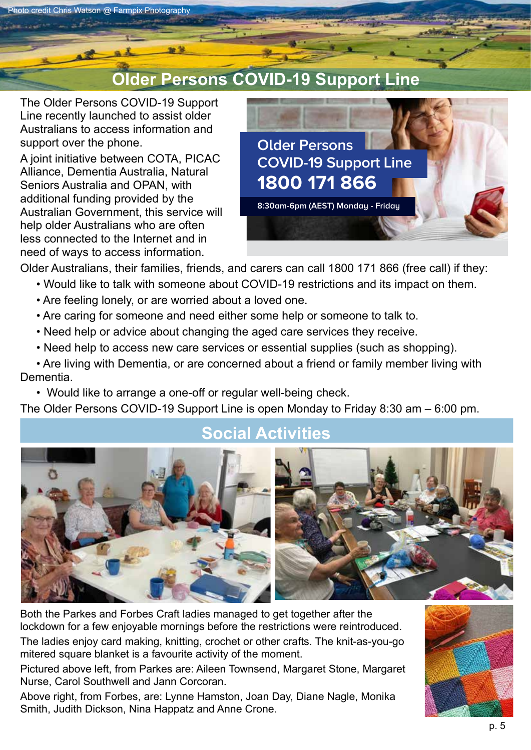### **Older Persons COVID-19 Support Line**

The Older Persons COVID-19 Support Line recently launched to assist older Australians to access information and support over the phone.

hoto credit Chris Watson @ Farmpix Photography

A joint initiative between COTA, PICAC Alliance, Dementia Australia, Natural Seniors Australia and OPAN, with additional funding provided by the Australian Government, this service will help older Australians who are often less connected to the Internet and in need of ways to access information.



Older Australians, their families, friends, and carers can call 1800 171 866 (free call) if they: **The Older Persons COVID-19 Support Line provides information and support.**

- Would like to talk with someone about COVID-19 restrictions and its impact on them.
- Are feeling lonely, or are worried about a loved one.
- Are caring for someone and need either some help or someone to talk to. **on them** ome help or someone to talk to.
- Need help or advice about changing the aged care services they receive. **• are caring for someone and need some with Dementia • would like to arrange a one-off or regular**
- Need help to access new care services or essential supplies (such as shopping). **• need help or advice about changing the**  an ahan
- **•** Are living with Dementia, or are concerned about a friend or family member living with Dementia.
- Would like to arrange a one-off or regular well-being check. **1800 171 866**

The Older Persons COVID-19 Support Line is open Monday to Friday 8:30 am – 6:00 pm. **Older Persons COVID-19 Support Line 1300 268 228**

### **The Older Social Activities**



Both the Parkes and Forbes Craft ladies managed to get together after the lockdown for a few enjoyable mornings before the restrictions were reintroduced. The ladies enjoy card making, knitting, crochet or other crafts. The knit-as-you-go mitered square blanket is a favourite activity of the moment.

Pictured above left, from Parkes are: Aileen Townsend, Margaret Stone, Margaret Nurse, Carol Southwell and Jann Corcoran.

Above right, from Forbes, are: Lynne Hamston, Joan Day, Diane Nagle, Monika Smith, Judith Dickson, Nina Happatz and Anne Crone.

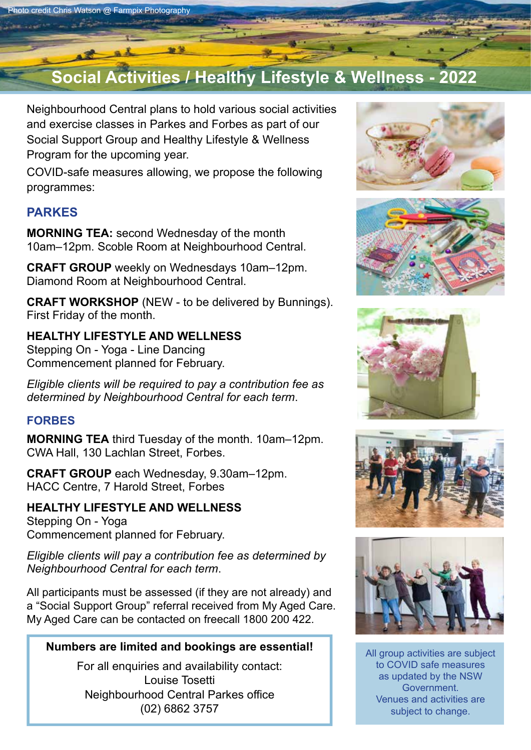## **Social Activities / Healthy Lifestyle & Wellness - 2022**

Neighbourhood Central plans to hold various social activities and exercise classes in Parkes and Forbes as part of our Social Support Group and Healthy Lifestyle & Wellness Program for the upcoming year.

COVID-safe measures allowing, we propose the following programmes:

#### **PARKES**

**MORNING TEA:** second Wednesday of the month 10am–12pm. Scoble Room at Neighbourhood Central.

**CRAFT GROUP** weekly on Wednesdays 10am–12pm. Diamond Room at Neighbourhood Central.

**CRAFT WORKSHOP** (NEW - to be delivered by Bunnings). First Friday of the month.

#### **HEALTHY LIFESTYLE AND WELLNESS**

Stepping On - Yoga - Line Dancing Commencement planned for February.

*Eligible clients will be required to pay a contribution fee as determined by Neighbourhood Central for each term*.

#### **FORBES**

**MORNING TEA** third Tuesday of the month. 10am–12pm. CWA Hall, 130 Lachlan Street, Forbes.

**CRAFT GROUP** each Wednesday, 9.30am–12pm. HACC Centre, 7 Harold Street, Forbes

#### **HEALTHY LIFESTYLE AND WELLNESS**

Stepping On - Yoga Commencement planned for February.

*Eligible clients will pay a contribution fee as determined by Neighbourhood Central for each term*.

All participants must be assessed (if they are not already) and a "Social Support Group" referral received from My Aged Care. My Aged Care can be contacted on freecall 1800 200 422.

#### **Numbers are limited and bookings are essential!**

For all enquiries and availability contact: Louise Tosetti Neighbourhood Central Parkes office (02) 6862 3757











All group activities are subject to COVID safe measures as updated by the NSW Government. Venues and activities are subject to change.